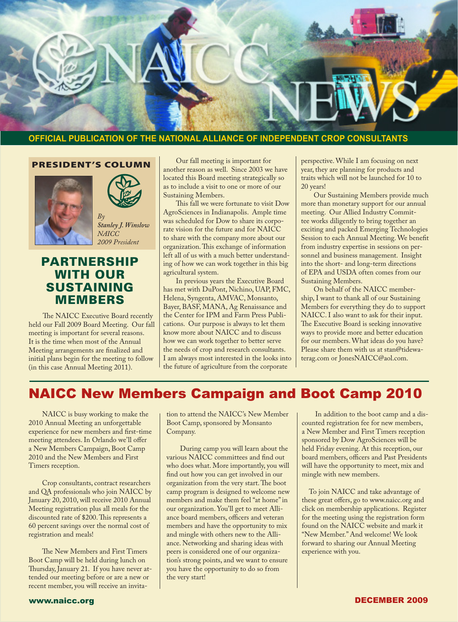

#### **OFFICIAL PUBLICATION OF THE NATIONAL ALLIANCE OF INDEPENDENT CROP CONSULTANTS**

#### PRESIDENT'S COLUMN





*Stanley J. Winslow NAICC 2009 President*

## PARTNERSHIP WITH OUR SUSTAINING MEMBERS

 The NAICC Executive Board recently held our Fall 2009 Board Meeting. Our fall meeting is important for several reasons. It is the time when most of the Annual Meeting arrangements are finalized and initial plans begin for the meeting to follow (in this case Annual Meeting 2011).

 Our fall meeting is important for another reason as well. Since 2003 we have located this Board meeting strategically so as to include a visit to one or more of our Sustaining Members.

 This fall we were fortunate to visit Dow AgroSciences in Indianapolis. Ample time was scheduled for Dow to share its corporate vision for the future and for NAICC to share with the company more about our organization.This exchange of information left all of us with a much better understanding of how we can work together in this big agricultural system.

 In previous years the Executive Board has met with DuPont, Nichino, UAP, FMC, Helena, Syngenta, AMVAC, Monsanto, Bayer, BASF, MANA, Ag Renaissance and the Center for IPM and Farm Press Publications. Our purpose is always to let them know more about NAICC and to discuss how we can work together to better serve the needs of crop and research consultants. I am always most interested in the looks into the future of agriculture from the corporate

perspective.While I am focusing on next year, they are planning for products and traits which will not be launched for 10 to 20 years!

 Our Sustaining Members provide much more than monetary support for our annual meeting. Our Allied Industry Committee works diligently to bring together an exciting and packed Emerging Technologies Session to each Annual Meeting.We benefit from industry expertise in sessions on personnel and business management. Insight into the short- and long-term directions of EPA and USDA often comes from our Sustaining Members.

 On behalf of the NAICC membership,I want to thank all of our Sustaining Members for everything they do to support NAICC.I also want to ask for their input. The Executive Board is seeking innovative ways to provide more and better education for our members.What ideas do you have? Please share them with us at stan@tidewaterag.com or JonesNAICC@aol.com.

# NAICC New Members Campaign and Boot Camp 2010

 NAICC is busy working to make the 2010 Annual Meeting an unforgettable experience for new members and first-time meeting attendees.In Orlando we'll offer a New Members Campaign, Boot Camp 2010 and the New Members and First Timers reception.

 Crop consultants, contract researchers and QA professionals who join NAICC by January 20, 2010, will receive 2010 Annual Meeting registration plus all meals for the discounted rate of \$200.This represents a 60 percent savings over the normal cost of registration and meals!

 The New Members and First Timers Boot Camp will be held during lunch on Thursday, January 21. If you have never attended our meeting before or are a new or recent member, you will receive an invitation to attend the NAICC's New Member Boot Camp, sponsored by Monsanto Company.

 During camp you will learn about the various NAICC committees and find out who does what. More importantly, you will find out how you can get involved in our organization from the very start.The boot camp program is designed to welcome new members and make them feel "at home"in our organization. You'll get to meet Alliance board members, officers and veteran members and have the opportunity to mix and mingle with others new to the Alliance. Networking and sharing ideas with peers is considered one of our organization's strong points, and we want to ensure you have the opportunity to do so from the very start!

 In addition to the boot camp and a discounted registration fee for new members, a New Member and First Timers reception sponsored by Dow AgroSciences will be held Friday evening. At this reception, our board members, officers and Past Presidents will have the opportunity to meet, mix and mingle with new members.

 To join NAICC and take advantage of these great offers, go to www.naicc.org and click on membership applications. Register for the meeting using the registration form found on the NAICC website and mark it "New Member." And welcome! We look forward to sharing our Annual Meeting experience with you.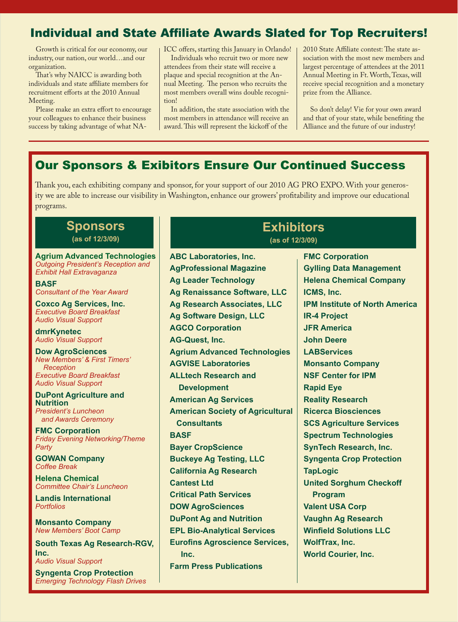## Individual and State Affiliate Awards Slated for Top Recruiters!

 Growth is critical for our economy, our industry, our nation, our world…and our organization.

 That's why NAICC is awarding both individuals and state affiliate members for recruitment efforts at the 2010 Annual Meeting.

 Please make an extra effort to encourage your colleagues to enhance their business success by taking advantage of what NA-

ICC offers, starting this January in Orlando!

 Individuals who recruit two or more new attendees from their state will receive a plaque and special recognition at the Annual Meeting. The person who recruits the most members overall wins double recognition!

 In addition, the state association with the most members in attendance will receive an award.This will represent the kickoff of the

2010 State Affiliate contest: The state association with the most new members and largest percentage of attendees at the 2011 Annual Meeting in Ft.Worth,Texas, will receive special recognition and a monetary prize from the Alliance.

 So don't delay! Vie for your own award and that of your state, while benefiting the Alliance and the future of our industry!

# Our Sponsors & Exibitors Ensure Our Continued Success

Thank you, each exhibiting company and sponsor, for your support of our 2010 AG PRO EXPO.With your generosity we are able to increase our visibility in Washington, enhance our growers' profitability and improve our educational programs.

**ABC Laboratories, Inc.**

#### **Sponsors (as of 12/3/09)**

**Agrium Advanced Technologies** *Outgoing President's Reception and Exhibit Hall Extravaganza*

**BASF** *Consultant of the Year Award*

**Coxco Ag Services, Inc.**  *Executive Board Breakfast Audio Visual Support*

**dmrKynetec** *Audio Visual Support*

**Dow AgroSciences** *New Members' & First Timers' Reception Executive Board Breakfast Audio Visual Support*

**DuPont Agriculture and Nutrition** *President's Luncheon* 

 *and Awards Ceremony* **FMC Corporation**

*Friday Evening Networking/Theme Party* 

**GOWAN Company** *Coffee Break* 

**Helena Chemical** *Committee Chair's Luncheon* 

**Landis International** *Portfolios*

**Monsanto Company** *New Members' Boot Camp*

**South Texas Ag Research-RGV, Inc.** *Audio Visual Support*

**Syngenta Crop Protection** *Emerging Technology Flash Drives* **AgProfessional Magazine Ag Leader Technology Ag Renaissance Software, LLC Ag Research Associates, LLC Ag Software Design, LLC AGCO Corporation AG-Quest, Inc. Agrium Advanced Technologies AGVISE Laboratories ALLtech Research and Development American Ag Services American Society of Agricultural Consultants BASF Bayer CropScience Buckeye Ag Testing, LLC California Ag Research Cantest Ltd Critical Path Services DOW AgroSciences DuPont Ag and Nutrition EPL Bio-Analytical Services Eurofins Agroscience Services, Inc. Farm Press Publications**

## **Exhibitors (as of 12/3/09)**

**FMC Corporation Gylling Data Management Helena Chemical Company ICMS, Inc. IPM Institute of North America IR-4 Project JFR America John Deere LABServices Monsanto Company NSF Center for IPM Rapid Eye Reality Research Ricerca Biosciences SCS Agriculture Services Spectrum Technologies SynTech Research, Inc. Syngenta Crop Protection TapLogic United Sorghum Checkoff Program Valent USA Corp Vaughn Ag Research Winfield Solutions LLC WolfTrax, Inc. World Courier, Inc.**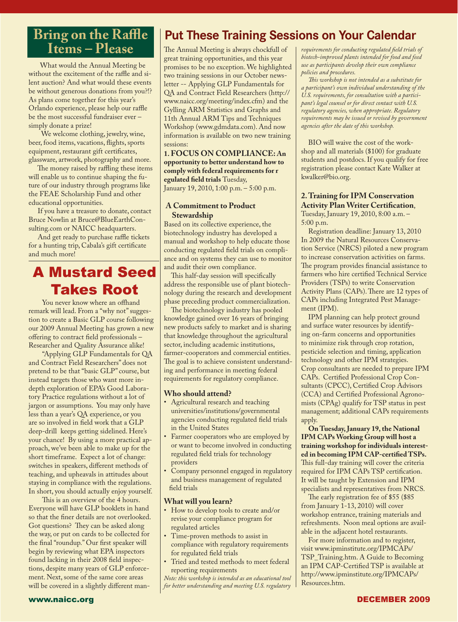# **Bring on the Raffle Items – Please**

What would the Annual Meeting be without the excitement of the raffle and silent auction? And what would these events be without generous donations from you?!? As plans come together for this year's Orlando experience, please help our raffle be the most successful fundraiser ever – simply donate a prize!

 We welcome clothing, jewelry, wine, beer, food items, vacations, flights, sports equipment, restaurant gift certificates, glassware, artwork, photography and more.

 The money raised by raffling these items will enable us to continue shaping the future of our industry through programs like the FEAE Scholarship Fund and other educational opportunities.

 If you have a treasure to donate, contact Bruce Nowlin at Bruce@BlueEarthConsulting.com or NAICC headquarters.

 And get ready to purchase raffle tickets for a hunting trip, Cabala's gift certificate and much more!

# A Mustard Seed Takes Root

 You never know where an offhand remark will lead. From a "why not" suggestion to create a Basic GLP course following our 2009 Annual Meeting has grown a new offering to contract field professionals – Researcher and Quality Assurance alike!

 "Applying GLP Fundamentals for QA and Contract Field Researchers" does not pretend to be that "basic GLP" course, but instead targets those who want more indepth exploration of EPA's Good Laboratory Practice regulations without a lot of jargon or assumptions. You may only have less than a year's QA experience, or you are so involved in field work that a GLP deep-drill keeps getting sidelined. Here's your chance! By using a more practical approach, we've been able to make up for the short timeframe. Expect a lot of change: switches in speakers, different methods of teaching, and upheavals in attitudes about staying in compliance with the regulations. In short, you should actually enjoy yourself.

 This is an overview of the 4 hours. Everyone will have GLP booklets in hand so that the finer details are not overlooked. Got questions? They can be asked along the way, or put on cards to be collected for the final "roundup." Our first speaker will begin by reviewing what EPA inspectors found lacking in their 2008 field inspections, despite many years of GLP enforcement. Next, some of the same core areas will be covered in a slightly different man-

# **Put These Training Sessions on Your Calendar**

The Annual Meeting is always chockfull of great training opportunities, and this year promises to be no exception.We highlighted two training sessions in our October newsletter -- Applying GLP Fundamentals for QA and Contract Field Researchers (http:// www.naicc.org/meeting/index.cfm) and the Gylling ARM Statistics and Graphs and 11th Annual ARM Tips and Techniques Workshop (www.gdmdata.com). And now information is available on two new training sessions:

#### **1. FOCUS ON COMPLIANCE: An opportunity to better understand how to comply with federal requirements for r egulated field trials** Tuesday, January 19, 2010, 1:00 p.m. – 5:00 p.m.

#### **A Commitment to Product Stewardship**

Based on its collective experience, the biotechnology industry has developed a manual and workshop to help educate those conducting regulated field trials on compliance and on systems they can use to monitor and audit their own compliance.

 This half-day session will specifically address the responsible use of plant biotechnology during the research and development phase preceding product commercialization.

 The biotechnology industry has pooled knowledge gained over 16 years of bringing new products safely to market and is sharing that knowledge throughout the agricultural sector, including academic institutions, farmer-cooperators and commercial entities. The goal is to achieve consistent understanding and performance in meeting federal requirements for regulatory compliance.

#### **Who should attend?**

- Agricultural research and teaching universities/institutions/governmental agencies conducting regulated field trials in the United States
- Farmer cooperators who are employed by or want to become involved in conducting regulated field trials for technology providers
- Company personnel engaged in regulatory and business management of regulated field trials

#### **What will you learn?**

- How to develop tools to create and/or revise your compliance program for regulated articles
- Time-proven methods to assist in compliance with regulatory requirements for regulated field trials
- Tried and tested methods to meet federal reporting requirements

*Note: this workshop is intended as an educational tool for better understanding and meeting U.S. regulatory* 

*requirements for conducting regulated field trials of biotech-improved plants intended for food and feed use as participants develop their own compliance policies and procedures.* 

 *This workshop is not intended as a substitute for a participant's own individual understanding of the U.S. requirements, for consultation with a participant's legal counsel or for direct contact with U.S. regulatory agencies, when appropriate. Regulatory requirements may be issued or revised by government agencies after the date of this workshop.*

 BIO will waive the cost of the workshop and all materials (\$100) for graduate students and postdocs.If you qualify for free registration please contact Kate Walker at kwalker@bio.org.

#### **2. Training for IPM Conservation Activity Plan Writer Certification**, Tuesday, January 19, 2010, 8:00 a.m. –

5:00 p.m. Registration deadline: January 13, 2010 In 2009 the Natural Resources Conservation Service (NRCS) piloted a new program

to increase conservation activities on farms. The program provides financial assistance to farmers who hire certified Technical Service Providers (TSPs) to write Conservation Activity Plans (CAPs). There are 12 types of CAPs including Integrated Pest Management (IPM).

 IPM planning can help protect ground and surface water resources by identifying on-farm concerns and opportunities to minimize risk through crop rotation, pesticide selection and timing, application technology and other IPM strategies. Crop consultants are needed to prepare IPM CAPs. Certified Professional Crop Consultants (CPCC), Certified Crop Advisors (CCA) and Certified Professional Agronomists (CPAg) qualify for TSP status in pest management; additional CAPs requirements apply.

 **On Tuesday, January 19, the National IPM CAPs Working Group will host a training workshop for individuals interested in becoming IPM CAP-certified TSPs.**  This full-day training will cover the criteria required for IPM CAPs TSP certification. It will be taught by Extension and IPM specialists and representatives from NRCS.

 The early registration fee of \$55 (\$85 from January 1-13, 2010) will cover workshop entrance, training materials and refreshments. Noon meal options are available in the adjacent hotel restaurants.

 For more information and to register, visit www.ipminstitute.org/IPMCAPs/ TSP\_Training.htm. A Guide to Becoming an IPM CAP-Certified TSP is available at http://www.ipminstitute.org/IPMCAPs/ Resources.htm.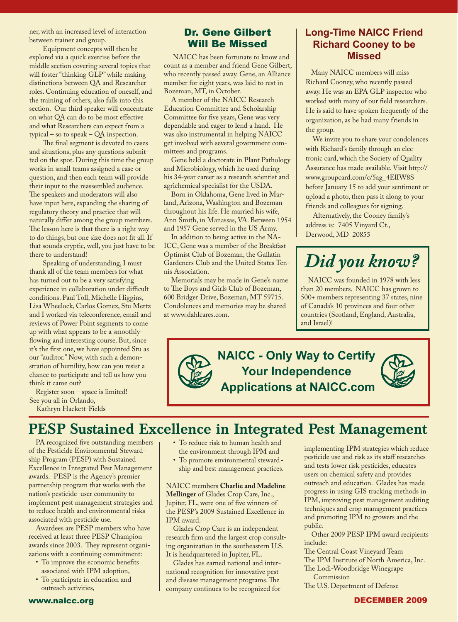ner, with an increased level of interaction between trainer and group.

 Equipment concepts will then be explored via a quick exercise before the middle section covering several topics that will foster "thinking GLP"while making distinctions between QA and Researcher roles. Continuing education of oneself, and the training of others, also falls into this section. Our third speaker will concentrate on what QA can do to be most effective and what Researchers can expect from a typical – so to speak – QA inspection.

 The final segment is devoted to cases and situations, plus any questions submitted on the spot. During this time the group works in small teams assigned a case or question, and then each team will provide their input to the reassembled audience. The speakers and moderators will also have input here, expanding the sharing of regulatory theory and practice that will naturally differ among the group members. The lesson here is that there is a right way to do things, but one size does not fit all.If that sounds cryptic, well, you just have to be there to understand!

 Speaking of understanding,I must thank all of the team members for what has turned out to be a very satisfying experience in collaboration under difficult conditions. Paul Toll, Michelle Higgins, Lisa Wheelock, Carlos Gomez, Stu Mertz and I worked via teleconference, email and reviews of Power Point segments to come up with what appears to be a smoothlyflowing and interesting course. But, since it's the first one, we have appointed Stu as our "auditor."Now, with such a demonstration of humility, how can you resist a chance to participate and tell us how you think it came out?

 Register soon – space is limited! See you all in Orlando,

Kathryn Hackett-Fields

## Dr. Gene Gilbert Will Be Missed

 NAICC has been fortunate to know and count as a member and friend Gene Gilbert, who recently passed away. Gene, an Alliance member for eight years, was laid to rest in Bozeman, MT, in October.

 A member of the NAICC Research Education Committee and Scholarship Committee for five years, Gene was very dependable and eager to lend a hand. He was also instrumental in helping NAICC get involved with several government committees and programs.

 Gene held a doctorate in Plant Pathology and Microbiology, which he used during his 34-year career as a research scientist and agrichemical specialist for the USDA.

 Born in Oklahoma, Gene lived in Marland, Arizona,Washington and Bozeman throughout his life. He married his wife, Ann Smith, in Manassas, VA. Between 1954 and 1957 Gene served in the US Army.

 In addition to being active in the NA-ICC, Gene was a member of the Breakfast Optimist Club of Bozeman, the Gallatin Gardeners Club and the United States Tennis Association.

 Memorials may be made in Gene's name to The Boys and Girls Club of Bozeman, 600 Bridger Drive, Bozeman, MT 59715. Condolences and memories may be shared at www.dahlcares.com.

## **Long-Time NAICC Friend Richard Cooney to be Missed**

 Many NAICC members will miss Richard Cooney, who recently passed away. He was an EPA GLP inspector who worked with many of our field researchers. He is said to have spoken frequently of the organization, as he had many friends in the group.

 We invite you to share your condolences with Richard's family through an electronic card, which the Society of Quality Assurance has made available. Visit http:// www.groupcard.com/c/5ag\_4ElIW8S before January 15 to add your sentiment or upload a photo, then pass it along to your friends and colleagues for signing.

 Alternatively, the Cooney family's address is: 7405 Vinyard Ct., Derwood, MD 20855

# *Did you know?*

 NAICC was founded in 1978 with less than 20 members. NAICC has grown to 500+ members representing 37 states, nine of Canada's 10 provinces and four other countries (Scotland, England, Australia, and Israel)!



# PESP Sustained Excellence in Integrated Pest Management

 PA recognized five outstanding members of the Pesticide Environmental Stewardship Program (PESP) with Sustained Excellence in Integrated Pest Management awards. PESP is the Agency's premier partnership program that works with the nation's pesticide–user community to implement pest management strategies and to reduce health and environmental risks associated with pesticide use.

 Awardees are PESP members who have received at least three PESP Champion awards since 2003. They represent organizations with a continuing commitment:

- To improve the economic benefits associated with IPM adoption,
- To participate in education and outreach activities,
- To reduce risk to human health and the environment through IPM and
- To promote environmental steward - ship and best management practices.

NAICC members **Charlie and Madeline Mellinger** of Glades Crop Care, Inc., Jupiter, FL, were one of five winners of the PESP's 2009 Sustained Excellence in IPM award.

 Glades Crop Care is an independent research firm and the largest crop consulting organization in the southeastern U.S. It is headquartered in Jupiter, FL.

 Glades has earned national and international recognition for innovative pest and disease management programs.The company continues to be recognized for

implementing IPM strategies which reduce pesticide use and risk as its staff researches and tests lower risk pesticides, educates users on chemical safety and provides outreach and education. Glades has made progress in using GIS tracking methods in IPM, improving pest management auditing techniques and crop management practices and promoting IPM to growers and the public.

 Other 2009 PESP IPM award recipients include:

The Central Coast Vineyard Team

The IPM Institute of North America, Inc.

The Lodi-Woodbridge Winegrape Commission

The U.S. Department of Defense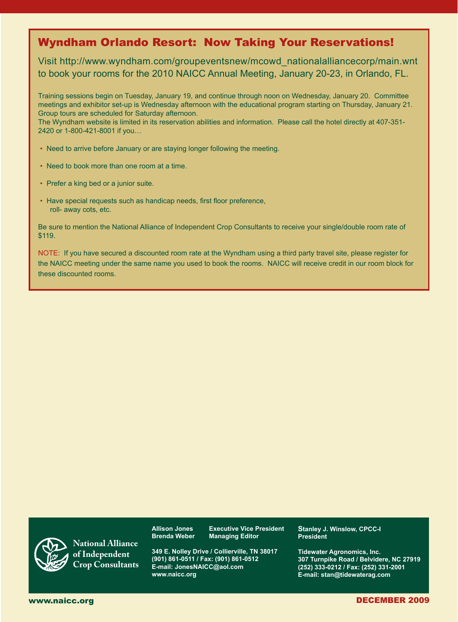## Wyndham Orlando Resort: Now Taking Your Reservations!

Visit http://www.wyndham.com/groupeventsnew/mcowd\_nationalalliancecorp/main.wnt to book your rooms for the 2010 NAICC Annual Meeting, January 20-23, in Orlando, FL.

Training sessions begin on Tuesday, January 19, and continue through noon on Wednesday, January 20. Committee meetings and exhibitor set-up is Wednesday afternoon with the educational program starting on Thursday, January 21. Group tours are scheduled for Saturday afternoon.

The Wyndham website is limited in its reservation abilities and information. Please call the hotel directly at 407-351- 2420 or 1-800-421-8001 if you…

- Need to arrive before January or are staying longer following the meeting.
- Need to book more than one room at a time.
- Prefer a king bed or a junior suite.
- Have special requests such as handicap needs, first floor preference, roll- away cots, etc.

Be sure to mention the National Alliance of Independent Crop Consultants to receive your single/double room rate of \$119.

NOTE: If you have secured a discounted room rate at the Wyndham using a third party travel site, please register for the NAICC meeting under the same name you used to book the rooms. NAICC will receive credit in our room block for these discounted rooms.



**National Alliance of Independent Crop Consultants**

**Allison Jones Executive Vice President Brenda Weber Managing Editor**

**349 E. Nolley Drive / Collierville, TN 38017 (901) 861-0511 / Fax: (901) 861-0512 E-mail: JonesNAICC@aol.com www.naicc.org**

**Stanley J. Winslow, CPCC-I President**

**Tidewater Agronomics, Inc. 307 Turnpike Road / Belvidere, NC 27919 (252) 333-0212 / Fax: (252) 331-2001 E-mail: stan@tidewaterag.com**